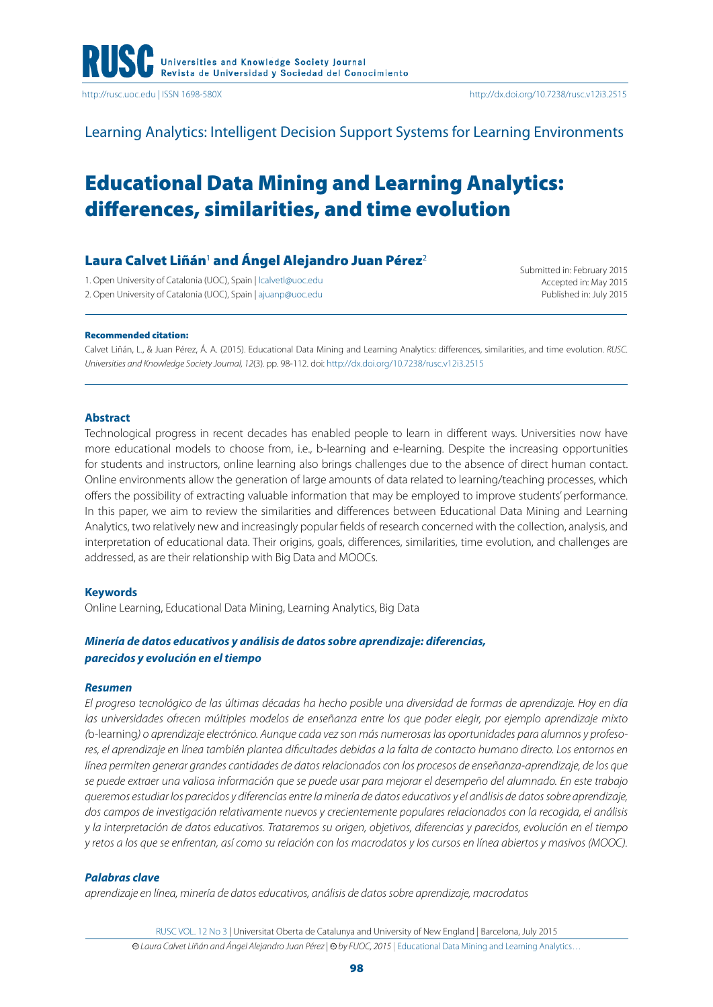

# Learning Analytics: Intelligent Decision Support Systems for Learning Environments

# Educational Data Mining and Learning Analytics: differences, similarities, and time evolution

# Laura Calvet Liñán $^{\scriptscriptstyle\mathrm{1}}$  and Ángel Alejandro Juan Pérez $^{\scriptscriptstyle\mathrm{2}}$

1. Open University of Catalonia (UOC), Spain | [lcalvetl@uoc.edu](mailto:lcalvetl@uoc.edu) 2. Open University of Catalonia (UOC), Spain | [ajuanp@uoc.edu](mailto:ajuanp@uoc.edu) <span id="page-0-0"></span>Submitted in: February 2015 Accepted in: May 2015 Published in: July 2015

### Recommended citation:

Calvet Liñán, L., & Juan Pérez, Á. A. (2015). Educational Data Mining and Learning Analytics: differences, similarities, and time evolution. *RUSC. Universities and Knowledge Society Journal, 12*(3)*.* [pp. 98](#page-0-0)[-112.](#page-14-0) doi: <http://dx.doi.org/10.7238/rusc.v12i3.2515>

### **Abstract**

Technological progress in recent decades has enabled people to learn in different ways. Universities now have more educational models to choose from, i.e., b-learning and e-learning. Despite the increasing opportunities for students and instructors, online learning also brings challenges due to the absence of direct human contact. Online environments allow the generation of large amounts of data related to learning/teaching processes, which offers the possibility of extracting valuable information that may be employed to improve students' performance. In this paper, we aim to review the similarities and differences between Educational Data Mining and Learning Analytics, two relatively new and increasingly popular fields of research concerned with the collection, analysis, and interpretation of educational data. Their origins, goals, differences, similarities, time evolution, and challenges are addressed, as are their relationship with Big Data and MOOCs.

### **Keywords**

Online Learning, Educational Data Mining, Learning Analytics, Big Data

## *Minería de datos educativos y análisis de datos sobre aprendizaje: diferencias, parecidos y evolución en el tiempo*

### *Resumen*

*El progreso tecnológico de las últimas décadas ha hecho posible una diversidad de formas de aprendizaje. Hoy en día las universidades ofrecen múltiples modelos de enseñanza entre los que poder elegir, por ejemplo aprendizaje mixto (*b-learning*) o aprendizaje electrónico. Aunque cada vez son más numerosas las oportunidades para alumnos y profeso*res, el aprendizaje en línea también plantea dificultades debidas a la falta de contacto humano directo. Los entornos en *línea permiten generar grandes cantidades de datos relacionados con los procesos de enseñanza-aprendizaje, de los que se puede extraer una valiosa información que se puede usar para mejorar el desempeño del alumnado. En este trabajo queremos estudiar los parecidos y diferencias entre la minería de datos educativos y el análisis de datos sobre aprendizaje, dos campos de investigación relativamente nuevos y crecientemente populares relacionados con la recogida, el análisis y la interpretación de datos educativos. Trataremos su origen, objetivos, diferencias y parecidos, evolución en el tiempo y retos a los que se enfrentan, así como su relación con los macrodatos y los cursos en línea abiertos y masivos (MOOC).*

### *Palabras clave*

*aprendizaje en línea, minería de datos educativos, análisis de datos sobre aprendizaje, macrodatos*

RUSC VOL. 12 No 3 | Universitat Oberta de Catalunya and University of New England | Barcelona, July 2015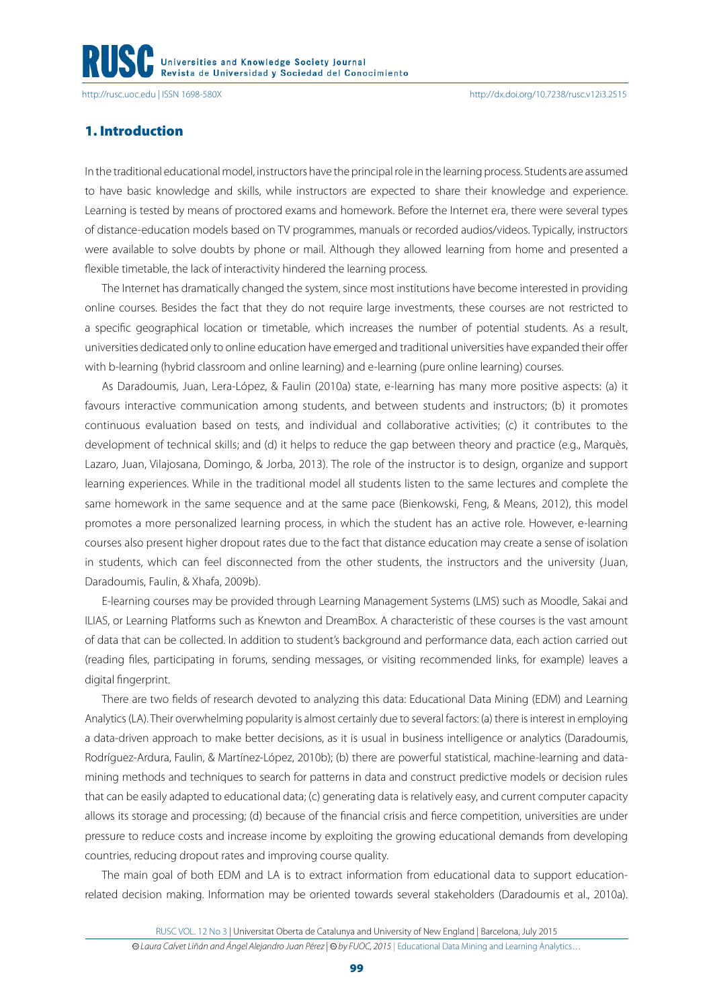# 1. Introduction

In the traditional educational model, instructors have the principal role in the learning process. Students are assumed to have basic knowledge and skills, while instructors are expected to share their knowledge and experience. Learning is tested by means of proctored exams and homework. Before the Internet era, there were several types of distance-education models based on TV programmes, manuals or recorded audios/videos. Typically, instructors were available to solve doubts by phone or mail. Although they allowed learning from home and presented a flexible timetable, the lack of interactivity hindered the learning process.

The Internet has dramatically changed the system, since most institutions have become interested in providing online courses. Besides the fact that they do not require large investments, these courses are not restricted to a specific geographical location or timetable, which increases the number of potential students. As a result, universities dedicated only to online education have emerged and traditional universities have expanded their offer with b-learning (hybrid classroom and online learning) and e-learning (pure online learning) courses.

As Daradoumis, Juan, Lera-López, & Faulin (2010a) state, e-learning has many more positive aspects: (a) it favours interactive communication among students, and between students and instructors; (b) it promotes continuous evaluation based on tests, and individual and collaborative activities; (c) it contributes to the development of technical skills; and (d) it helps to reduce the gap between theory and practice (e.g., Marquès, Lazaro, Juan, Vilajosana, Domingo, & Jorba, 2013). The role of the instructor is to design, organize and support learning experiences. While in the traditional model all students listen to the same lectures and complete the same homework in the same sequence and at the same pace (Bienkowski, Feng, & Means, 2012), this model promotes a more personalized learning process, in which the student has an active role. However, e-learning courses also present higher dropout rates due to the fact that distance education may create a sense of isolation in students, which can feel disconnected from the other students, the instructors and the university (Juan, Daradoumis, Faulin, & Xhafa, 2009b).

E-learning courses may be provided through Learning Management Systems (LMS) such as Moodle, Sakai and ILIAS, or Learning Platforms such as Knewton and DreamBox. A characteristic of these courses is the vast amount of data that can be collected. In addition to student's background and performance data, each action carried out (reading files, participating in forums, sending messages, or visiting recommended links, for example) leaves a digital fingerprint.

There are two fields of research devoted to analyzing this data: Educational Data Mining (EDM) and Learning Analytics (LA). Their overwhelming popularity is almost certainly due to several factors: (a) there is interest in employing a data-driven approach to make better decisions, as it is usual in business intelligence or analytics (Daradoumis, Rodríguez-Ardura, Faulin, & Martínez-López, 2010b); (b) there are powerful statistical, machine-learning and datamining methods and techniques to search for patterns in data and construct predictive models or decision rules that can be easily adapted to educational data; (c) generating data is relatively easy, and current computer capacity allows its storage and processing; (d) because of the financial crisis and fierce competition, universities are under pressure to reduce costs and increase income by exploiting the growing educational demands from developing countries, reducing dropout rates and improving course quality.

The main goal of both EDM and LA is to extract information from educational data to support educationrelated decision making. Information may be oriented towards several stakeholders (Daradoumis et al., 2010a).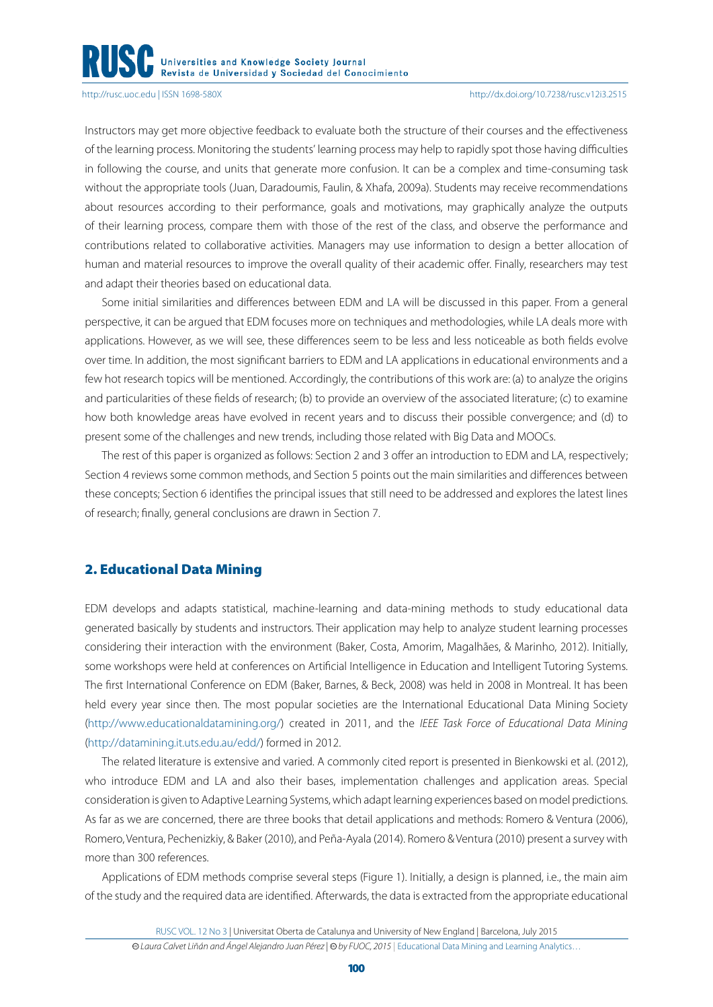Universities and Knowledge Society Journal<br>Revista de Universidad y Sociedad del Conocimiento

### <http://rusc.uoc.edu> | ISSN 1698-580X <http://dx.doi.org/10.7238/rusc.v12i3.2515>

Instructors may get more objective feedback to evaluate both the structure of their courses and the effectiveness of the learning process. Monitoring the students' learning process may help to rapidly spot those having difficulties in following the course, and units that generate more confusion. It can be a complex and time-consuming task without the appropriate tools (Juan, Daradoumis, Faulin, & Xhafa, 2009a). Students may receive recommendations about resources according to their performance, goals and motivations, may graphically analyze the outputs of their learning process, compare them with those of the rest of the class, and observe the performance and contributions related to collaborative activities. Managers may use information to design a better allocation of human and material resources to improve the overall quality of their academic offer. Finally, researchers may test and adapt their theories based on educational data.

Some initial similarities and differences between EDM and LA will be discussed in this paper. From a general perspective, it can be argued that EDM focuses more on techniques and methodologies, while LA deals more with applications. However, as we will see, these differences seem to be less and less noticeable as both fields evolve over time. In addition, the most significant barriers to EDM and LA applications in educational environments and a few hot research topics will be mentioned. Accordingly, the contributions of this work are: (a) to analyze the origins and particularities of these fields of research; (b) to provide an overview of the associated literature; (c) to examine how both knowledge areas have evolved in recent years and to discuss their possible convergence; and (d) to present some of the challenges and new trends, including those related with Big Data and MOOCs.

The rest of this paper is organized as follows: Section 2 and 3 offer an introduction to EDM and LA, respectively; Section 4 reviews some common methods, and Section 5 points out the main similarities and differences between these concepts; Section 6 identifies the principal issues that still need to be addressed and explores the latest lines of research; finally, general conclusions are drawn in Section 7.

### 2. Educational Data Mining

EDM develops and adapts statistical, machine-learning and data-mining methods to study educational data generated basically by students and instructors. Their application may help to analyze student learning processes considering their interaction with the environment (Baker, Costa, Amorim, Magalhães, & Marinho, 2012). Initially, some workshops were held at conferences on Artificial Intelligence in Education and Intelligent Tutoring Systems. The first International Conference on EDM (Baker, Barnes, & Beck, 2008) was held in 2008 in Montreal. It has been held every year since then. The most popular societies are the International Educational Data Mining Society ([http://www.educationaldatamining.org/\)](http://www.educationaldatamining.org/) created in 2011, and the *IEEE Task Force of Educational Data Mining*  ([http://datamining.it.uts.edu.au/edd/\)](http://datamining.it.uts.edu.au/edd/) formed in 2012.

The related literature is extensive and varied. A commonly cited report is presented in Bienkowski et al. (2012), who introduce EDM and LA and also their bases, implementation challenges and application areas. Special consideration is given to Adaptive Learning Systems, which adapt learning experiences based on model predictions. As far as we are concerned, there are three books that detail applications and methods: Romero & Ventura (2006), Romero, Ventura, Pechenizkiy, & Baker (2010), and Peña-Ayala (2014). Romero & Ventura (2010) present a survey with more than 300 references.

Applications of EDM methods comprise several steps (Figure 1). Initially, a design is planned, i.e., the main aim of the study and the required data are identified. Afterwards, the data is extracted from the appropriate educational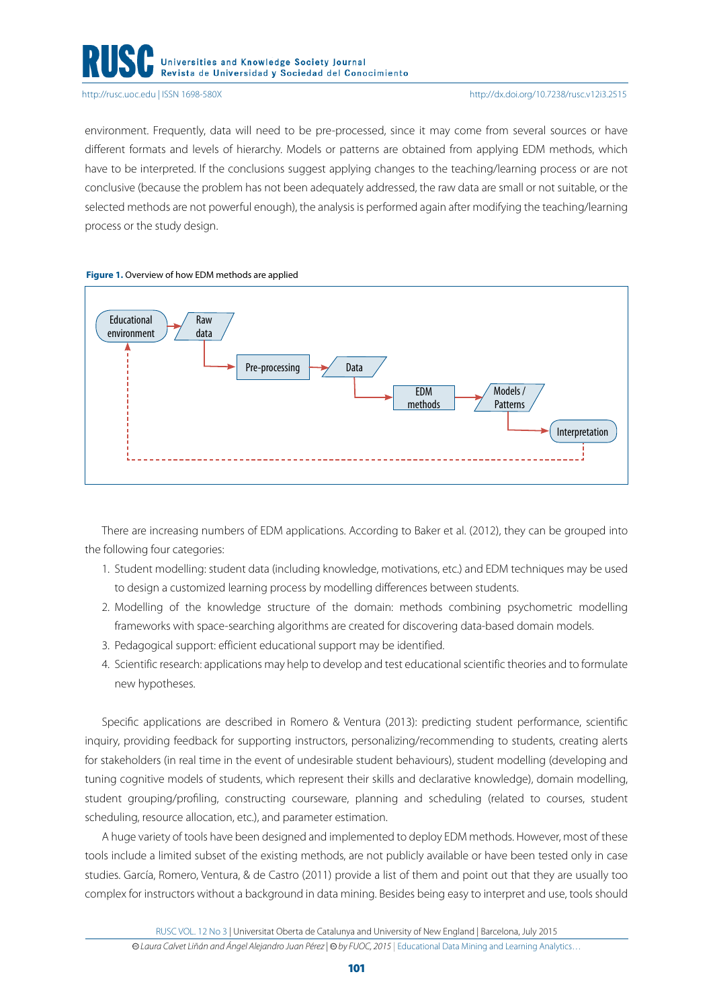

environment. Frequently, data will need to be pre-processed, since it may come from several sources or have different formats and levels of hierarchy. Models or patterns are obtained from applying EDM methods, which have to be interpreted. If the conclusions suggest applying changes to the teaching/learning process or are not conclusive (because the problem has not been adequately addressed, the raw data are small or not suitable, or the selected methods are not powerful enough), the analysis is performed again after modifying the teaching/learning process or the study design.





There are increasing numbers of EDM applications. According to Baker et al. (2012), they can be grouped into the following four categories:

- 1. Student modelling: student data (including knowledge, motivations, etc.) and EDM techniques may be used to design a customized learning process by modelling differences between students.
- 2. Modelling of the knowledge structure of the domain: methods combining psychometric modelling frameworks with space-searching algorithms are created for discovering data-based domain models.
- 3. Pedagogical support: efficient educational support may be identified.
- 4. Scientific research: applications may help to develop and test educational scientific theories and to formulate new hypotheses.

Specific applications are described in Romero & Ventura (2013): predicting student performance, scientific inquiry, providing feedback for supporting instructors, personalizing/recommending to students, creating alerts for stakeholders (in real time in the event of undesirable student behaviours), student modelling (developing and tuning cognitive models of students, which represent their skills and declarative knowledge), domain modelling, student grouping/profiling, constructing courseware, planning and scheduling (related to courses, student scheduling, resource allocation, etc.), and parameter estimation.

A huge variety of tools have been designed and implemented to deploy EDM methods. However, most of these tools include a limited subset of the existing methods, are not publicly available or have been tested only in case studies. García, Romero, Ventura, & de Castro (2011) provide a list of them and point out that they are usually too complex for instructors without a background in data mining. Besides being easy to interpret and use, tools should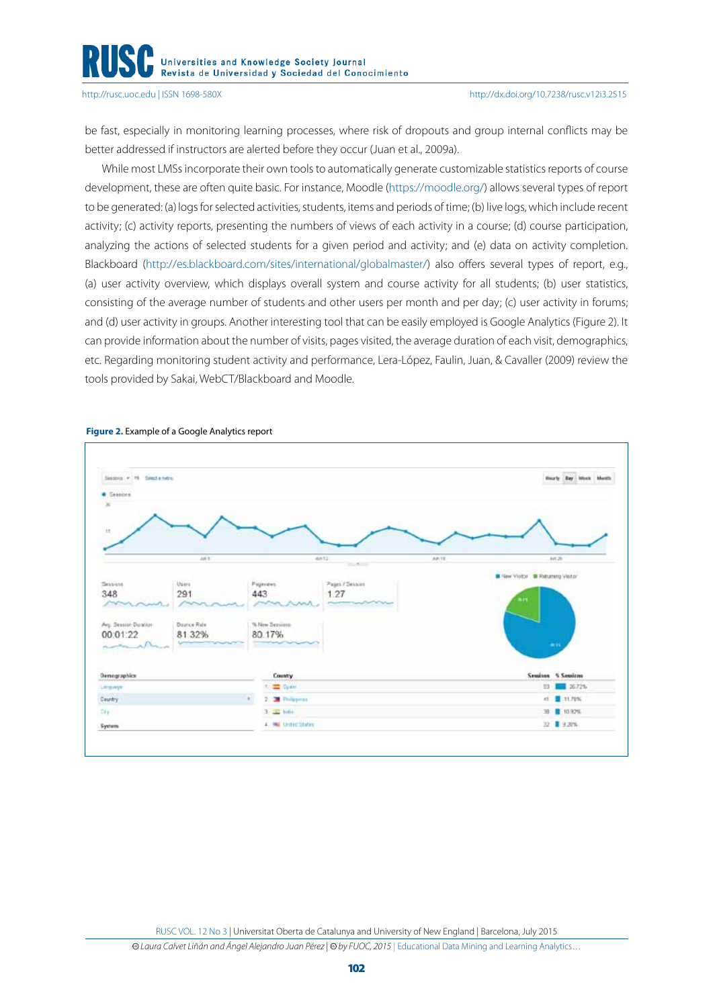be fast, especially in monitoring learning processes, where risk of dropouts and group internal conflicts may be better addressed if instructors are alerted before they occur (Juan et al., 2009a).

While most LMSs incorporate their own tools to automatically generate customizable statistics reports of course development, these are often quite basic. For instance, Moodle (<https://moodle.org/>) allows several types of report to be generated: (a) logs for selected activities, students, items and periods of time; (b) live logs, which include recent activity; (c) activity reports, presenting the numbers of views of each activity in a course; (d) course participation, analyzing the actions of selected students for a given period and activity; and (e) data on activity completion. Blackboard ([http://es.blackboard.com/sites/international/globalmaster/\)](http://es.blackboard.com/sites/international/globalmaster/) also offers several types of report, e.g., (a) user activity overview, which displays overall system and course activity for all students; (b) user statistics, consisting of the average number of students and other users per month and per day; (c) user activity in forums; and (d) user activity in groups. Another interesting tool that can be easily employed is Google Analytics (Figure 2). It can provide information about the number of visits, pages visited, the average duration of each visit, demographics, etc. Regarding monitoring student activity and performance, Lera-López, Faulin, Juan, & Cavaller (2009) review the tools provided by Sakai, WebCT/Blackboard and Moodle.



### **Figure 2.** Example of a Google Analytics report

RUSC VOL. 12 No 3 | Universitat Oberta de Catalunya and University of New England | Barcelona, July 2015

**CC** *Laura Calvet Liñán and Ángel Alejandro Juan Pérez*| **CC** *by FUOC, 2015* | Educational Data Mining and Learning Analytics…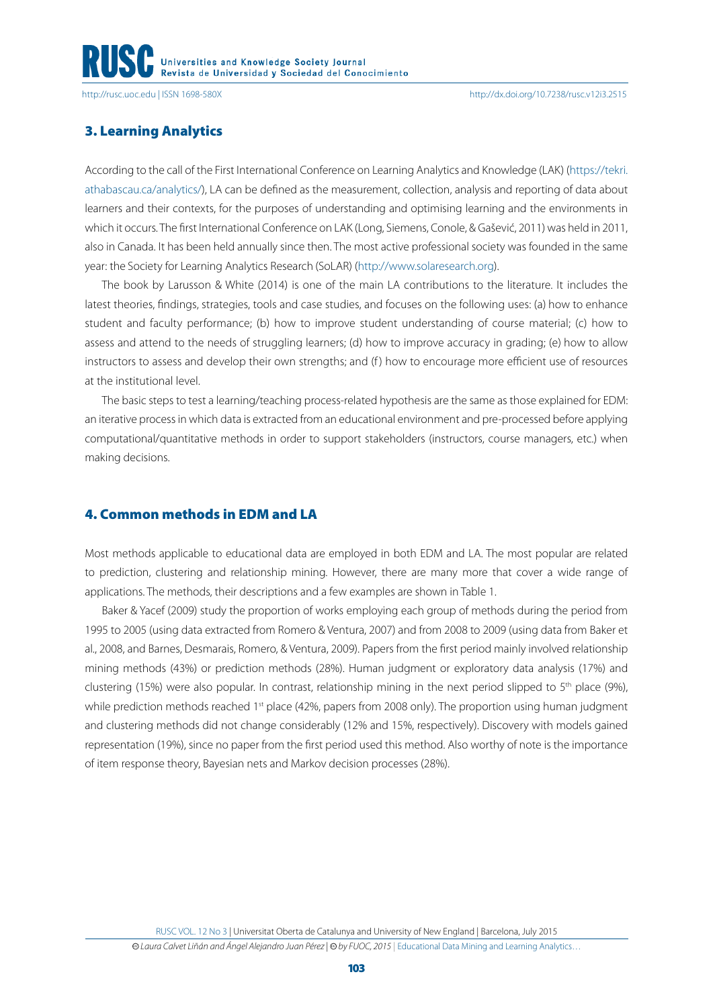# 3. Learning Analytics

According to the call of the First International Conference on Learning Analytics and Knowledge (LAK) ([https://tekri.](https://tekri.athabascau.ca/analytics/) [athabascau.ca/analytics/](https://tekri.athabascau.ca/analytics/)), LA can be defined as the measurement, collection, analysis and reporting of data about learners and their contexts, for the purposes of understanding and optimising learning and the environments in which it occurs. The first International Conference on LAK (Long, Siemens, Conole, & Gašević, 2011) was held in 2011, also in Canada. It has been held annually since then. The most active professional society was founded in the same year: the Society for Learning Analytics Research (SoLAR) (<http://www.solaresearch.org>).

The book by Larusson & White (2014) is one of the main LA contributions to the literature. It includes the latest theories, findings, strategies, tools and case studies, and focuses on the following uses: (a) how to enhance student and faculty performance; (b) how to improve student understanding of course material; (c) how to assess and attend to the needs of struggling learners; (d) how to improve accuracy in grading; (e) how to allow instructors to assess and develop their own strengths; and (f) how to encourage more efficient use of resources at the institutional level.

The basic steps to test a learning/teaching process-related hypothesis are the same as those explained for EDM: an iterative process in which data is extracted from an educational environment and pre-processed before applying computational/quantitative methods in order to support stakeholders (instructors, course managers, etc.) when making decisions.

# 4. Common methods in EDM and LA

Most methods applicable to educational data are employed in both EDM and LA. The most popular are related to prediction, clustering and relationship mining. However, there are many more that cover a wide range of applications. The methods, their descriptions and a few examples are shown in Table 1.

Baker & Yacef (2009) study the proportion of works employing each group of methods during the period from 1995 to 2005 (using data extracted from Romero & Ventura, 2007) and from 2008 to 2009 (using data from Baker et al., 2008, and Barnes, Desmarais, Romero, & Ventura, 2009). Papers from the first period mainly involved relationship mining methods (43%) or prediction methods (28%). Human judgment or exploratory data analysis (17%) and clustering (15%) were also popular. In contrast, relationship mining in the next period slipped to 5<sup>th</sup> place (9%), while prediction methods reached 1<sup>st</sup> place (42%, papers from 2008 only). The proportion using human judgment and clustering methods did not change considerably (12% and 15%, respectively). Discovery with models gained representation (19%), since no paper from the first period used this method. Also worthy of note is the importance of item response theory, Bayesian nets and Markov decision processes (28%).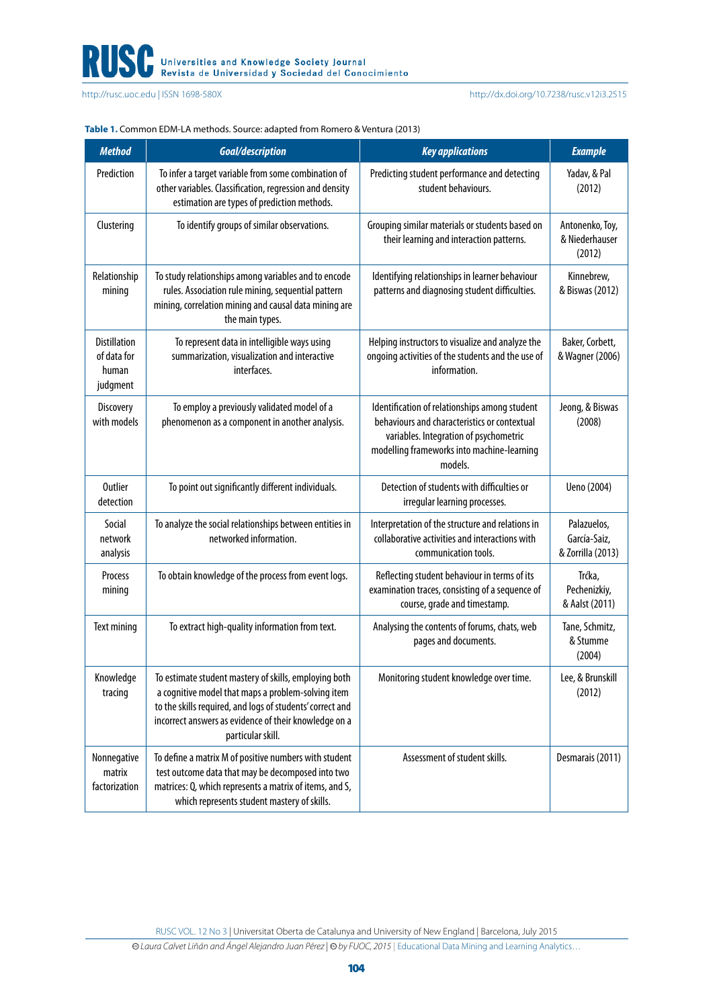### <http://rusc.uoc.edu> | ISSN 1698-580X <http://dx.doi.org/10.7238/rusc.v12i3.2515>

| <b>Method</b>                                           | <b>Goal/description</b>                                                                                                                                                                                                                                | <b>Key applications</b>                                                                                                                                                                          | <b>Example</b>                                   |
|---------------------------------------------------------|--------------------------------------------------------------------------------------------------------------------------------------------------------------------------------------------------------------------------------------------------------|--------------------------------------------------------------------------------------------------------------------------------------------------------------------------------------------------|--------------------------------------------------|
| Prediction                                              | To infer a target variable from some combination of<br>other variables. Classification, regression and density<br>estimation are types of prediction methods.                                                                                          | Predicting student performance and detecting<br>student behaviours.                                                                                                                              | Yadav, & Pal<br>(2012)                           |
| Clustering                                              | To identify groups of similar observations.                                                                                                                                                                                                            | Grouping similar materials or students based on<br>their learning and interaction patterns.                                                                                                      | Antonenko, Toy,<br>& Niederhauser<br>(2012)      |
| Relationship<br>mining                                  | To study relationships among variables and to encode<br>rules. Association rule mining, sequential pattern<br>mining, correlation mining and causal data mining are<br>the main types.                                                                 | Identifying relationships in learner behaviour<br>patterns and diagnosing student difficulties.                                                                                                  | Kinnebrew,<br>& Biswas (2012)                    |
| <b>Distillation</b><br>of data for<br>human<br>judgment | To represent data in intelligible ways using<br>summarization, visualization and interactive<br>interfaces.                                                                                                                                            | Helping instructors to visualize and analyze the<br>ongoing activities of the students and the use of<br>information.                                                                            | Baker, Corbett,<br>& Wagner (2006)               |
| Discovery<br>with models                                | To employ a previously validated model of a<br>phenomenon as a component in another analysis.                                                                                                                                                          | Identification of relationships among student<br>behaviours and characteristics or contextual<br>variables. Integration of psychometric<br>modelling frameworks into machine-learning<br>models. | Jeong, & Biswas<br>(2008)                        |
| <b>Outlier</b><br>detection                             | To point out significantly different individuals.                                                                                                                                                                                                      | Detection of students with difficulties or<br>irregular learning processes.                                                                                                                      | Ueno (2004)                                      |
| Social<br>network<br>analysis                           | To analyze the social relationships between entities in<br>networked information.                                                                                                                                                                      | Interpretation of the structure and relations in<br>collaborative activities and interactions with<br>communication tools.                                                                       | Palazuelos,<br>García-Saiz,<br>& Zorrilla (2013) |
| Process<br>mining                                       | To obtain knowledge of the process from event logs.                                                                                                                                                                                                    | Reflecting student behaviour in terms of its<br>examination traces, consisting of a sequence of<br>course, grade and timestamp.                                                                  | Trćka,<br>Pechenizkiy,<br>& Aalst (2011)         |
| Text mining                                             | To extract high-quality information from text.                                                                                                                                                                                                         | Analysing the contents of forums, chats, web<br>pages and documents.                                                                                                                             | Tane, Schmitz,<br>& Stumme<br>(2004)             |
| Knowledge<br>tracing                                    | To estimate student mastery of skills, employing both<br>a cognitive model that maps a problem-solving item<br>to the skills required, and logs of students' correct and<br>incorrect answers as evidence of their knowledge on a<br>particular skill. | Monitoring student knowledge over time.                                                                                                                                                          | Lee, & Brunskill<br>(2012)                       |
| Nonnegative<br>matrix<br>factorization                  | To define a matrix M of positive numbers with student<br>test outcome data that may be decomposed into two<br>matrices: Q, which represents a matrix of items, and S,<br>which represents student mastery of skills.                                   | Assessment of student skills.                                                                                                                                                                    | Desmarais (2011)                                 |

### **Table 1.** Common EDM-LA methods. Source: adapted from Romero & Ventura (2013)

RUSC VOL. 12 No 3 | Universitat Oberta de Catalunya and University of New England | Barcelona, July 2015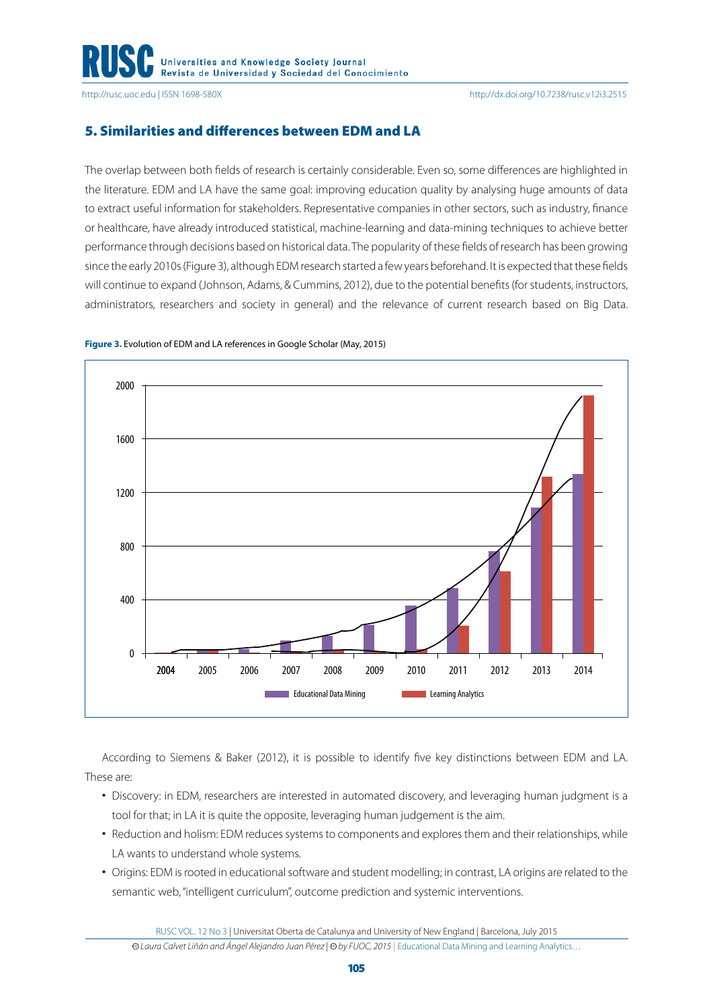# 5. Similarities and differences between EDM and LA

The overlap between both fields of research is certainly considerable. Even so, some differences are highlighted in the literature. EDM and LA have the same goal: improving education quality by analysing huge amounts of data to extract useful information for stakeholders. Representative companies in other sectors, such as industry, finance or healthcare, have already introduced statistical, machine-learning and data-mining techniques to achieve better performance through decisions based on historical data. The popularity of these fields of research has been growing since the early 2010s (Figure 3), although EDM research started a few years beforehand. It is expected that these fields will continue to expand (Johnson, Adams, & Cummins, 2012), due to the potential benefits (for students, instructors, administrators, researchers and society in general) and the relevance of current research based on Big Data.



**Figure 3.** Evolution of EDM and LA references in Google Scholar (May, 2015)

According to Siemens & Baker (2012), it is possible to identify five key distinctions between EDM and LA. These are:

- Discovery: in EDM, researchers are interested in automated discovery, and leveraging human judgment is a tool for that; in LA it is quite the opposite, leveraging human judgement is the aim.
- Reduction and holism: EDM reduces systems to components and explores them and their relationships, while LA wants to understand whole systems.
- Origins: EDM is rooted in educational software and student modelling; in contrast, LA origins are related to the semantic web, "intelligent curriculum", outcome prediction and systemic interventions.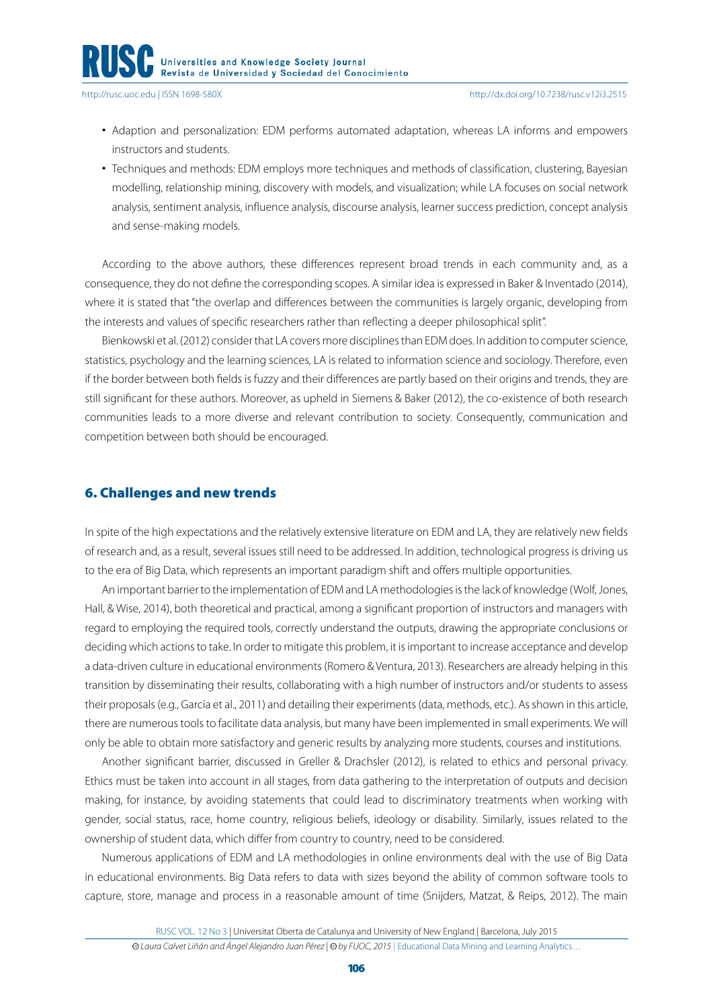- Adaption and personalization: EDM performs automated adaptation, whereas LA informs and empowers instructors and students.
- Techniques and methods: EDM employs more techniques and methods of classification, clustering, Bayesian modelling, relationship mining, discovery with models, and visualization; while LA focuses on social network analysis, sentiment analysis, influence analysis, discourse analysis, learner success prediction, concept analysis and sense-making models.

According to the above authors, these differences represent broad trends in each community and, as a consequence, they do not define the corresponding scopes. A similar idea is expressed in Baker & Inventado (2014), where it is stated that "the overlap and differences between the communities is largely organic, developing from the interests and values of specific researchers rather than reflecting a deeper philosophical split".

Bienkowski et al. (2012) consider that LA covers more disciplines than EDM does. In addition to computer science, statistics, psychology and the learning sciences, LA is related to information science and sociology. Therefore, even if the border between both fields is fuzzy and their differences are partly based on their origins and trends, they are still significant for these authors. Moreover, as upheld in Siemens & Baker (2012), the co-existence of both research communities leads to a more diverse and relevant contribution to society. Consequently, communication and competition between both should be encouraged.

# 6. Challenges and new trends

In spite of the high expectations and the relatively extensive literature on EDM and LA, they are relatively new fields of research and, as a result, several issues still need to be addressed. In addition, technological progress is driving us to the era of Big Data, which represents an important paradigm shift and offers multiple opportunities.

An important barrier to the implementation of EDM and LA methodologies is the lack of knowledge (Wolf, Jones, Hall, & Wise, 2014), both theoretical and practical, among a significant proportion of instructors and managers with regard to employing the required tools, correctly understand the outputs, drawing the appropriate conclusions or deciding which actions to take. In order to mitigate this problem, it is important to increase acceptance and develop a data-driven culture in educational environments (Romero & Ventura, 2013). Researchers are already helping in this transition by disseminating their results, collaborating with a high number of instructors and/or students to assess their proposals (e.g., García et al., 2011) and detailing their experiments (data, methods, etc.). As shown in this article, there are numerous tools to facilitate data analysis, but many have been implemented in small experiments. We will only be able to obtain more satisfactory and generic results by analyzing more students, courses and institutions.

Another significant barrier, discussed in Greller & Drachsler (2012), is related to ethics and personal privacy. Ethics must be taken into account in all stages, from data gathering to the interpretation of outputs and decision making, for instance, by avoiding statements that could lead to discriminatory treatments when working with gender, social status, race, home country, religious beliefs, ideology or disability. Similarly, issues related to the ownership of student data, which differ from country to country, need to be considered.

Numerous applications of EDM and LA methodologies in online environments deal with the use of Big Data in educational environments. Big Data refers to data with sizes beyond the ability of common software tools to capture, store, manage and process in a reasonable amount of time (Snijders, Matzat, & Reips, 2012). The main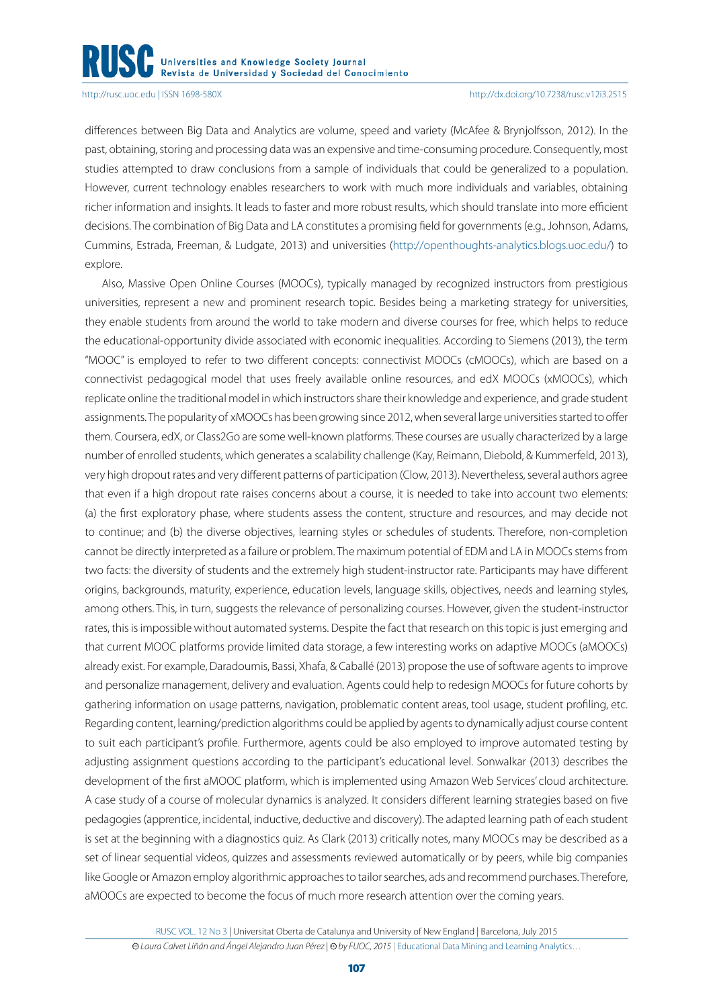differences between Big Data and Analytics are volume, speed and variety (McAfee & Brynjolfsson, 2012). In the past, obtaining, storing and processing data was an expensive and time-consuming procedure. Consequently, most studies attempted to draw conclusions from a sample of individuals that could be generalized to a population. However, current technology enables researchers to work with much more individuals and variables, obtaining richer information and insights. It leads to faster and more robust results, which should translate into more efficient decisions. The combination of Big Data and LA constitutes a promising field for governments (e.g., Johnson, Adams, Cummins, Estrada, Freeman, & Ludgate, 2013) and universities [\(http://openthoughts-analytics.blogs.uoc.edu/](http://openthoughts-analytics.blogs.uoc.edu/)) to explore.

Also, Massive Open Online Courses (MOOCs), typically managed by recognized instructors from prestigious universities, represent a new and prominent research topic. Besides being a marketing strategy for universities, they enable students from around the world to take modern and diverse courses for free, which helps to reduce the educational-opportunity divide associated with economic inequalities. According to Siemens (2013), the term "MOOC" is employed to refer to two different concepts: connectivist MOOCs (cMOOCs), which are based on a connectivist pedagogical model that uses freely available online resources, and edX MOOCs (xMOOCs), which replicate online the traditional model in which instructors share their knowledge and experience, and grade student assignments. The popularity of xMOOCs has been growing since 2012, when several large universities started to offer them. Coursera, edX, or Class2Go are some well-known platforms. These courses are usually characterized by a large number of enrolled students, which generates a scalability challenge (Kay, Reimann, Diebold, & Kummerfeld, 2013), very high dropout rates and very different patterns of participation (Clow, 2013). Nevertheless, several authors agree that even if a high dropout rate raises concerns about a course, it is needed to take into account two elements: (a) the first exploratory phase, where students assess the content, structure and resources, and may decide not to continue; and (b) the diverse objectives, learning styles or schedules of students. Therefore, non-completion cannot be directly interpreted as a failure or problem. The maximum potential of EDM and LA in MOOCs stems from two facts: the diversity of students and the extremely high student-instructor rate. Participants may have different origins, backgrounds, maturity, experience, education levels, language skills, objectives, needs and learning styles, among others. This, in turn, suggests the relevance of personalizing courses. However, given the student-instructor rates, this is impossible without automated systems. Despite the fact that research on this topic is just emerging and that current MOOC platforms provide limited data storage, a few interesting works on adaptive MOOCs (aMOOCs) already exist. For example, Daradoumis, Bassi, Xhafa, & Caballé (2013) propose the use of software agents to improve and personalize management, delivery and evaluation. Agents could help to redesign MOOCs for future cohorts by gathering information on usage patterns, navigation, problematic content areas, tool usage, student profiling, etc. Regarding content, learning/prediction algorithms could be applied by agents to dynamically adjust course content to suit each participant's profile. Furthermore, agents could be also employed to improve automated testing by adjusting assignment questions according to the participant's educational level. Sonwalkar (2013) describes the development of the first aMOOC platform, which is implemented using Amazon Web Services' cloud architecture. A case study of a course of molecular dynamics is analyzed. It considers different learning strategies based on five pedagogies (apprentice, incidental, inductive, deductive and discovery). The adapted learning path of each student is set at the beginning with a diagnostics quiz. As Clark (2013) critically notes, many MOOCs may be described as a set of linear sequential videos, quizzes and assessments reviewed automatically or by peers, while big companies like Google or Amazon employ algorithmic approaches to tailor searches, ads and recommend purchases. Therefore, aMOOCs are expected to become the focus of much more research attention over the coming years.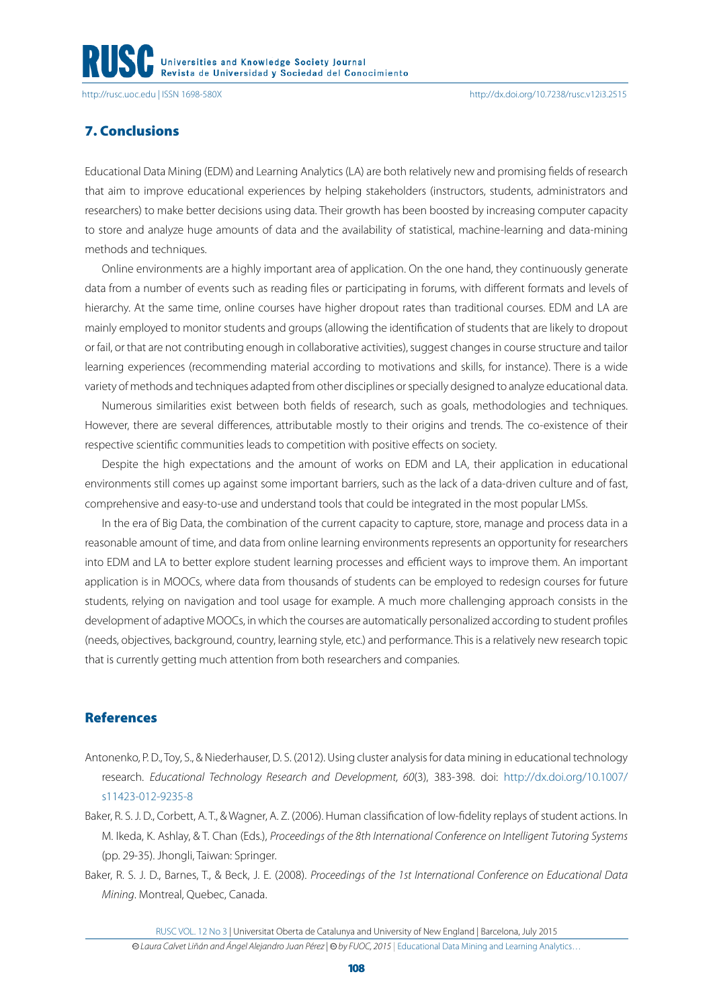# 7. Conclusions

Educational Data Mining (EDM) and Learning Analytics (LA) are both relatively new and promising fields of research that aim to improve educational experiences by helping stakeholders (instructors, students, administrators and researchers) to make better decisions using data. Their growth has been boosted by increasing computer capacity to store and analyze huge amounts of data and the availability of statistical, machine-learning and data-mining methods and techniques.

Online environments are a highly important area of application. On the one hand, they continuously generate data from a number of events such as reading files or participating in forums, with different formats and levels of hierarchy. At the same time, online courses have higher dropout rates than traditional courses. EDM and LA are mainly employed to monitor students and groups (allowing the identification of students that are likely to dropout or fail, or that are not contributing enough in collaborative activities), suggest changes in course structure and tailor learning experiences (recommending material according to motivations and skills, for instance). There is a wide variety of methods and techniques adapted from other disciplines or specially designed to analyze educational data.

Numerous similarities exist between both fields of research, such as goals, methodologies and techniques. However, there are several differences, attributable mostly to their origins and trends. The co-existence of their respective scientific communities leads to competition with positive effects on society.

Despite the high expectations and the amount of works on EDM and LA, their application in educational environments still comes up against some important barriers, such as the lack of a data-driven culture and of fast, comprehensive and easy-to-use and understand tools that could be integrated in the most popular LMSs.

In the era of Big Data, the combination of the current capacity to capture, store, manage and process data in a reasonable amount of time, and data from online learning environments represents an opportunity for researchers into EDM and LA to better explore student learning processes and efficient ways to improve them. An important application is in MOOCs, where data from thousands of students can be employed to redesign courses for future students, relying on navigation and tool usage for example. A much more challenging approach consists in the development of adaptive MOOCs, in which the courses are automatically personalized according to student profiles (needs, objectives, background, country, learning style, etc.) and performance. This is a relatively new research topic that is currently getting much attention from both researchers and companies.

### References

- Antonenko, P. D., Toy, S., & Niederhauser, D. S. (2012). Using cluster analysis for data mining in educational technology research. *Educational Technology Research and Development, 60*(3), 383-398. doi: [http://dx.doi.org/1](http://dx.doi.org/10.1007/s11423-012-9235-8)0.1007/ s11423-012-9235-8
- Baker, R. S. J. D., Corbett, A. T., & Wagner, A. Z. (2006). Human classification of low-fidelity replays of student actions. In M. Ikeda, K. Ashlay, & T. Chan (Eds.), *Proceedings of the 8th International Conference on Intelligent Tutoring Systems* (pp. 29-35). Jhongli, Taiwan: Springer.
- Baker, R. S. J. D., Barnes, T., & Beck, J. E. (2008). *Proceedings of the 1st International Conference on Educational Data Mining*. Montreal, Quebec, Canada.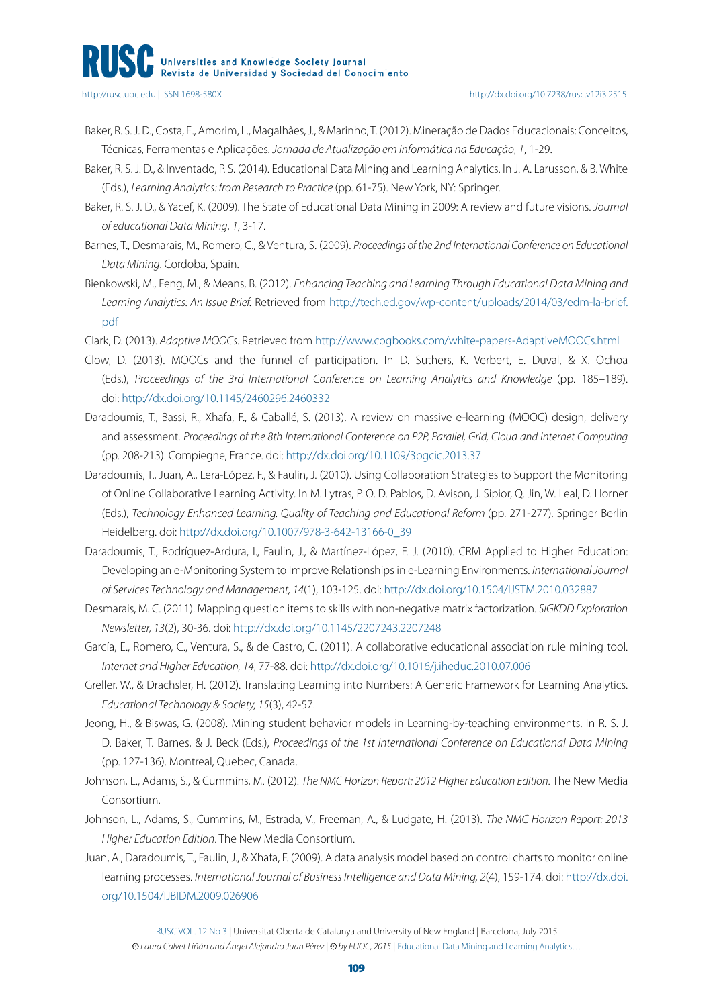- Baker, R. S. J. D., Costa, E., Amorim, L., Magalhães, J., & Marinho, T. (2012). Mineração de Dados Educacionais: Conceitos, Técnicas, Ferramentas e Aplicações. *Jornada de Atualização em Informática na Educação*, *1*, 1-29.
- Baker, R. S. J. D., & Inventado, P. S. (2014). Educational Data Mining and Learning Analytics. In J. A. Larusson, & B. White (Eds.), *Learning Analytics: from Research to Practice* (pp. 61-75). New York, NY: Springer.
- Baker, R. S. J. D., & Yacef, K. (2009). The State of Educational Data Mining in 2009: A review and future visions. *Journal of educational Data Mining*, *1*, 3-17.
- Barnes, T., Desmarais, M., Romero, C., & Ventura, S. (2009). *Proceedings of the 2nd International Conference on Educational Data Mining*. Cordoba, Spain.
- Bienkowski, M., Feng, M., & Means, B. (2012). *Enhancing Teaching and Learning Through Educational Data Mining and Learning Analytics: An Issue Brief.* Retrieved from [http://tech.ed.gov/wp-content/uploads/2014/03/edm-la-brief.](http://tech.ed.gov/wp-content/uploads/2014/03/edm-la-brief.pdf) [pdf](http://tech.ed.gov/wp-content/uploads/2014/03/edm-la-brief.pdf)
- Clark, D. (2013). *Adaptive MOOCs*. Retrieved from<http://www.cogbooks.com/white-papers-AdaptiveMOOCs.html>
- Clow, D. (2013). MOOCs and the funnel of participation. In D. Suthers, K. Verbert, E. Duval, & X. Ochoa (Eds.), *Proceedings of the 3rd International Conference on Learning Analytics and Knowledge* (pp. 185–189). doi: [http://dx.doi.org/1](http://dx.doi.org/10.1007/s11423-012-9235-8)0.1145/2460296.2460332
- Daradoumis, T., Bassi, R., Xhafa, F., & Caballé, S. (2013). A review on massive e-learning (MOOC) design, delivery and assessment. *Proceedings of the 8th International Conference on P2P, Parallel, Grid, Cloud and Internet Computing*  (pp. 208-213). Compiegne, France. doi: <http://dx.doi.org/10.1109/3pgcic.2013.37>
- Daradoumis, T., Juan, A., Lera-López, F., & Faulin, J. (2010). Using Collaboration Strategies to Support the Monitoring of Online Collaborative Learning Activity. In M. Lytras, P. O. D. Pablos, D. Avison, J. Sipior, Q. Jin, W. Leal, D. Horner (Eds.), *Technology Enhanced Learning. Quality of Teaching and Educational Reform (pp. 271-277). Springer Berlin* Heidelberg. doi: [http://dx.doi.org/10.1007/978-3-642-13166-0\\_39](http://dx.doi.org/10.1007/978-3-642-13166-0_39)
- Daradoumis, T., Rodríguez-Ardura, I., Faulin, J., & Martínez-López, F. J. (2010). CRM Applied to Higher Education: Developing an e-Monitoring System to Improve Relationships in e-Learning Environments. *International Journal of Services Technology and Management, 14*(1), 103-125. doi: <http://dx.doi.org/10.1504/IJSTM.2010.032887>
- Desmarais, M. C. (2011). Mapping question items to skills with non-negative matrix factorization. *SIGKDD Exploration Newsletter, 13*(2), 30-36. doi: <http://dx.doi.org/10.1145/2207243.2207248>
- García, E., Romero, C., Ventura, S., & de Castro, C. (2011). A collaborative educational association rule mining tool. *Internet and Higher Education, 14*, 77-88. doi:<http://dx.doi.org/10.1016/j.iheduc.2010.07.006>
- Greller, W., & Drachsler, H. (2012). Translating Learning into Numbers: A Generic Framework for Learning Analytics. *Educational Technology & Society, 15*(3), 42-57.
- Jeong, H., & Biswas, G. (2008). Mining student behavior models in Learning-by-teaching environments. In R. S. J. D. Baker, T. Barnes, & J. Beck (Eds.), *Proceedings of the 1st International Conference on Educational Data Mining* (pp. 127-136). Montreal, Quebec, Canada.
- Johnson, L., Adams, S., & Cummins, M. (2012). *The NMC Horizon Report: 2012 Higher Education Edition*. The New Media Consortium.
- Johnson, L., Adams, S., Cummins, M., Estrada, V., Freeman, A., & Ludgate, H. (2013). *The NMC Horizon Report: 2013 Higher Education Edition*. The New Media Consortium.
- Juan, A., Daradoumis, T., Faulin, J., & Xhafa, F. (2009). A data analysis model based on control charts to monitor online learning processes. *International Journal of Business Intelligence and Data Mining, 2*(4), 159-174. doi: [http://dx.doi.](http://dx.doi.org/10.1504/IJBIDM.2009.026906) [org/10.1504/IJBIDM.2009.026906](http://dx.doi.org/10.1504/IJBIDM.2009.026906)

RUSC VOL. 12 No 3 | Universitat Oberta de Catalunya and University of New England | Barcelona, July 2015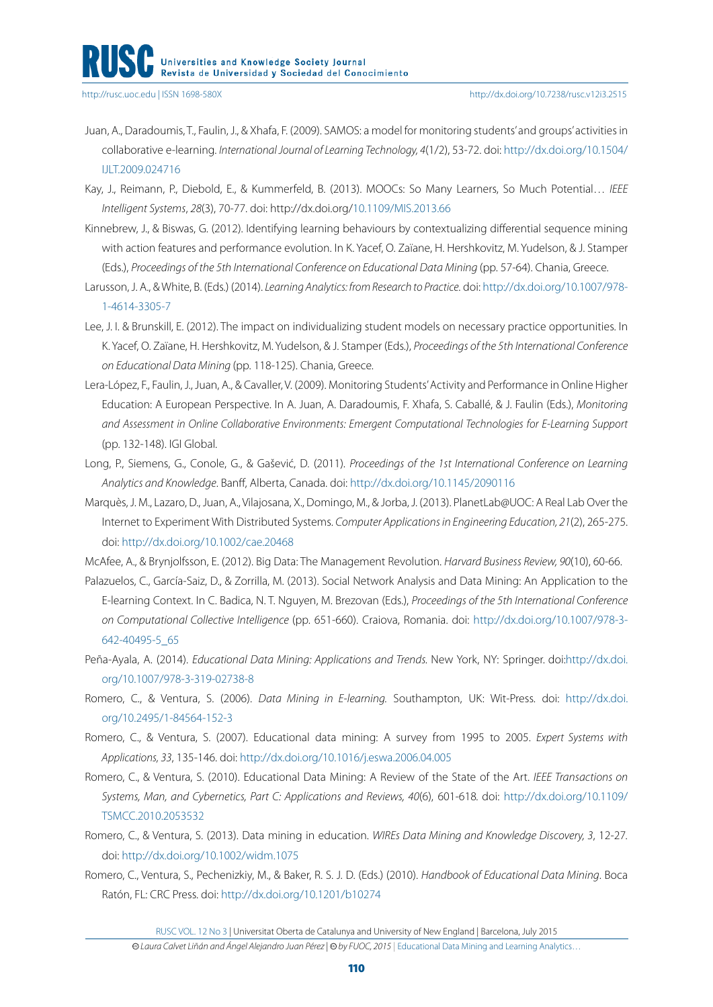- Juan, A., Daradoumis, T., Faulin, J., & Xhafa, F. (2009). SAMOS: a model for monitoring students' and groups' activities in collaborative e-learning. *International Journal of Learning Technology, 4*(1/2), 53-72. doi: [http://dx.doi.org/10.1504/](http://dx.doi.org/10.1504/IJLT.2009.024716) [IJLT.2009.024716](http://dx.doi.org/10.1504/IJLT.2009.024716)
- Kay, J., Reimann, P., Diebold, E., & Kummerfeld, B. (2013). MOOCs: So Many Learners, So Much Potential… *IEEE Intelligent Systems*, *28*(3), 70-77. doi: http://dx.doi.org/[10.1109/MIS.2013.66](http://dx.doi.org/10.1109/MIS.2013.66)
- Kinnebrew, J., & Biswas, G. (2012). Identifying learning behaviours by contextualizing differential sequence mining with action features and performance evolution. In K. Yacef, O. Zaïane, H. Hershkovitz, M. Yudelson, & J. Stamper (Eds.), Proceedings of the 5th International Conference on Educational Data Mining (pp. 57-64). Chania, Greece.
- Larusson, J. A., & White, B. (Eds.) (2014). *Learning Analytics: from Research to Practice.* doi:<http://dx.doi.org/10.1007/978> 1-4614-3305-7
- Lee, J. I. & Brunskill, E. (2012). The impact on individualizing student models on necessary practice opportunities. In K. Yacef, O. Zaïane, H. Hershkovitz, M. Yudelson, & J. Stamper (Eds.), *Proceedings of the 5th International Conference on Educational Data Mining* (pp. 118-125). Chania, Greece.
- Lera-López, F., Faulin, J., Juan, A., & Cavaller, V. (2009). Monitoring Students' Activity and Performance in Online Higher Education: A European Perspective. In A. Juan, A. Daradoumis, F. Xhafa, S. Caballé, & J. Faulin (Eds.), *Monitoring and Assessment in Online Collaborative Environments: Emergent Computational Technologies for E-Learning Support* (pp. 132-148). IGI Global.
- Long, P., Siemens, G., Conole, G., & Gašević, D. (2011). *Proceedings of the 1st International Conference on Learning Analytics and Knowledge*. Banff, Alberta, Canada. doi:<http://dx.doi.org/10.1145/2090116>
- Marquès, J. M., Lazaro, D., Juan, A., Vilajosana, X., Domingo, M., & Jorba, J. (2013). PlanetLab@UOC: A Real Lab Over the Internet to Experiment With Distributed Systems. *Computer Applications in Engineering Education, 21*(2), 265-275. doi: <http://dx.doi.org/10.1002/cae.20468>
- McAfee, A., & Brynjolfsson, E. (2012). Big Data: The Management Revolution. *Harvard Business Review, 90*(10), 60-66.
- Palazuelos, C., García-Saiz, D., & Zorrilla, M. (2013). Social Network Analysis and Data Mining: An Application to the E-learning Context. In C. Badica, N. T. Nguyen, M. Brezovan (Eds.), *Proceedings of the 5th International Conference on Computational Collective Intelligence* (pp. 651-660). Craiova, Romania. doi: [http://dx.doi.org/10.1007/978-3-](http://dx.doi.org/10.1007/978-3-642-40495-5_65) [642-40495-5\\_65](http://dx.doi.org/10.1007/978-3-642-40495-5_65)
- Peña-Ayala, A. (2014). *Educational Data Mining: Applications and Trends.* New York, NY: Springer. doi:[http://dx.doi.](http://dx.doi.org/10.1007/978-3-319-02738-8) [org/10.1007/978-3-319-02738-8](http://dx.doi.org/10.1007/978-3-319-02738-8)
- Romero, C., & Ventura, S. (2006). *Data Mining in E-learning.* Southampton, UK: Wit-Press. doi: [http://dx.doi.](http://dx.doi.org/10.2495/1-84564-152-3) [org/10.2495/1-84564-152-3](http://dx.doi.org/10.2495/1-84564-152-3)
- Romero, C., & Ventura, S. (2007). Educational data mining: A survey from 1995 to 2005. *Expert Systems with Applications, 33*, 135-146. doi:<http://dx.doi.org/10.1016/j.eswa.2006.04.005>
- Romero, C., & Ventura, S. (2010). Educational Data Mining: A Review of the State of the Art. *IEEE Transactions on Systems, Man, and Cybernetics, Part C: Applications and Reviews, 40*(6), 601-618*.* doi: [http://dx.doi.org/10.1109/](http://dx.doi.org/10.1109/TSMCC.2010.2053532) [TSMCC.2010.2053532](http://dx.doi.org/10.1109/TSMCC.2010.2053532)
- Romero, C., & Ventura, S. (2013). Data mining in education. *WIREs Data Mining and Knowledge Discovery, 3*, 12-27*.*  doi: <http://dx.doi.org/10.1002/widm.1075>
- Romero, C., Ventura, S., Pechenizkiy, M., & Baker, R. S. J. D. (Eds.) (2010). *Handbook of Educational Data Mining*. Boca Ratón, FL: CRC Press. doi: <http://dx.doi.org/10.1201/b10274>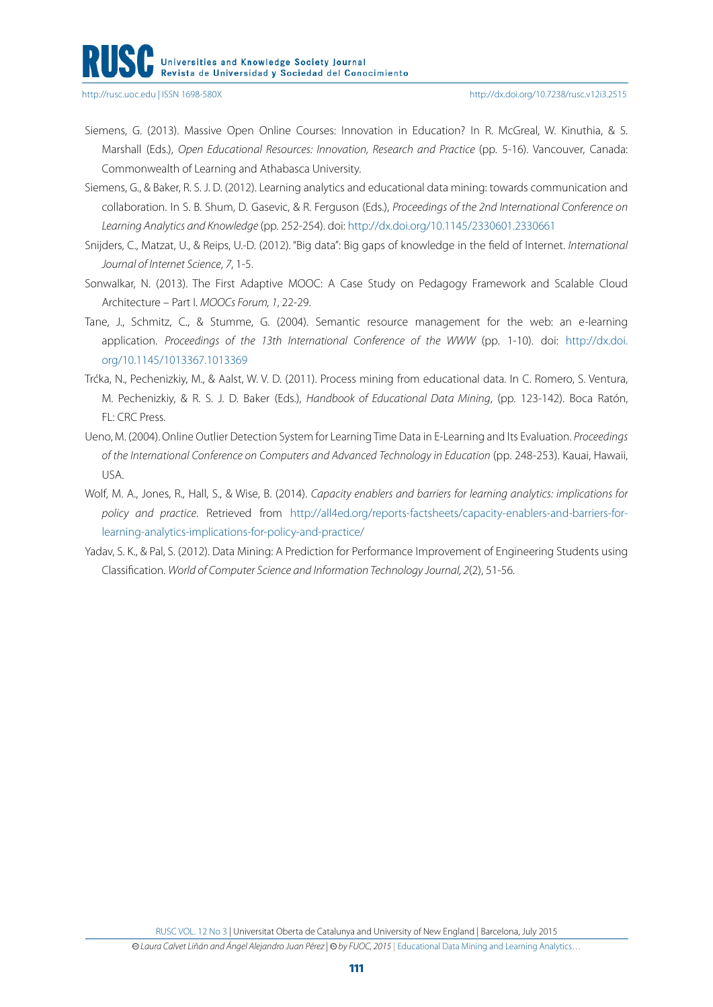- Siemens, G. (2013). Massive Open Online Courses: Innovation in Education? In R. McGreal, W. Kinuthia, & S. Marshall (Eds.), *Open Educational Resources: Innovation, Research and Practice* (pp. 5-16). Vancouver, Canada: Commonwealth of Learning and Athabasca University*.*
- Siemens, G., & Baker, R. S. J. D. (2012). Learning analytics and educational data mining: towards communication and collaboration. In S. B. Shum, D. Gasevic, & R. Ferguson (Eds.), *Proceedings of the 2nd International Conference on Learning Analytics and Knowledge* (pp. 252-254). doi: <http://dx.doi.org/10.1145/2330601.2330661>
- Snijders, C., Matzat, U., & Reips, U.-D. (2012). "Big data": Big gaps of knowledge in the field of Internet. *International Journal of Internet Science*, *7*, 1-5.
- Sonwalkar, N. (2013). The First Adaptive MOOC: A Case Study on Pedagogy Framework and Scalable Cloud Architecture – Part I. *MOOCs Forum, 1*, 22-29.
- Tane, J., Schmitz, C., & Stumme, G. (2004). Semantic resource management for the web: an e-learning application. *Proceedings of the 13th International Conference of the WWW* (pp. 1-10). doi: [http://dx.doi.](http://dx.doi.org/10.1145/1013367.1013369) [org/10.1145/1013367.1013369](http://dx.doi.org/10.1145/1013367.1013369)
- Trćka, N., Pechenizkiy, M., & Aalst, W. V. D. (2011). Process mining from educational data. In C. Romero, S. Ventura, M. Pechenizkiy, & R. S. J. D. Baker (Eds.), *Handbook of Educational Data Mining*, (pp. 123-142). Boca Ratón, FL: CRC Press.
- Ueno, M. (2004). Online Outlier Detection System for Learning Time Data in E-Learning and Its Evaluation. *Proceedings of the International Conference on Computers and Advanced Technology in Education* (pp. 248-253). Kauai, Hawaii, USA.
- Wolf, M. A., Jones, R., Hall, S., & Wise, B. (2014). *Capacity enablers and barriers for learning analytics: implications for policy and practice*. Retrieved from [http://all4ed.org/reports-factsheets/capacity-enablers-and-barriers-for](http://all4ed.org/reports-factsheets/capacity-enablers-and-barriers-for-learning-analytics-implications-for-policy-and-practice/)[learning-analytics-implications-for-policy-and-practice/](http://all4ed.org/reports-factsheets/capacity-enablers-and-barriers-for-learning-analytics-implications-for-policy-and-practice/)
- Yadav, S. K., & Pal, S. (2012). Data Mining: A Prediction for Performance Improvement of Engineering Students using Classification. *World of Computer Science and Information Technology Journal, 2*(2), 51-56.